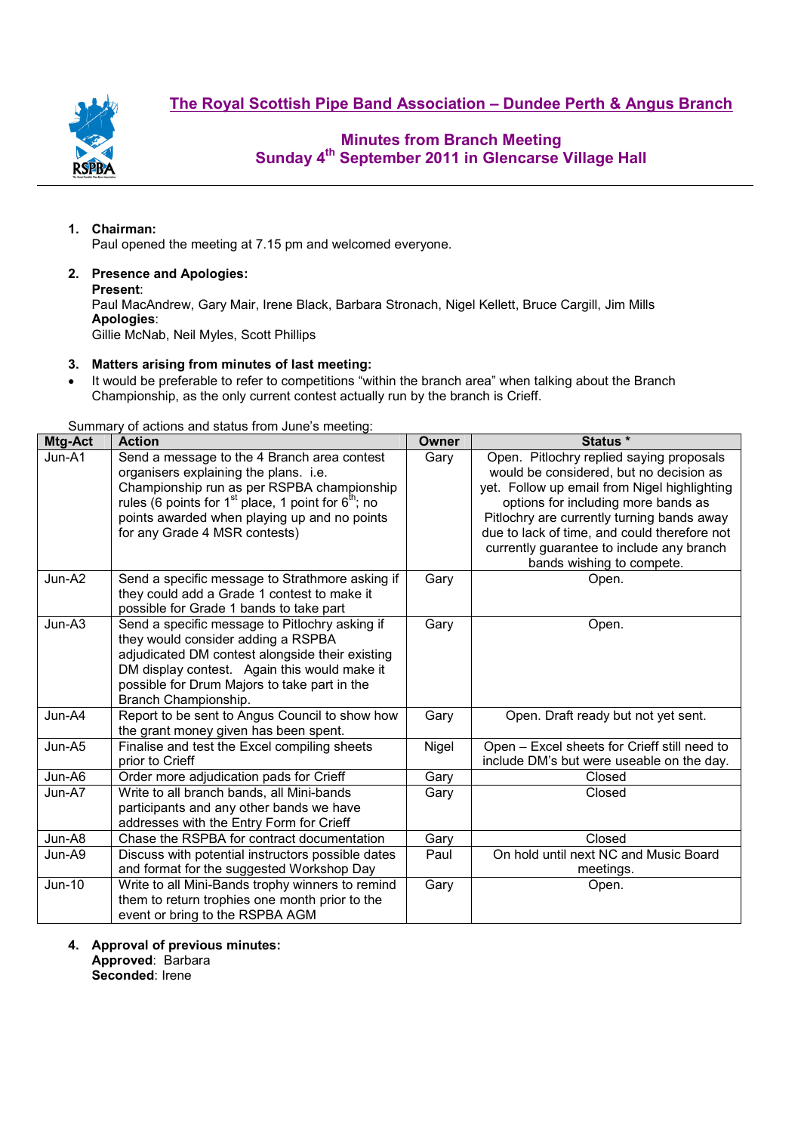**The Royal Scottish Pipe Band Association – Dundee Perth & Angus Branch**



## **Minutes from Branch Meeting Sunday 4th September 2011 in Glencarse Village Hall**

### **1. Chairman:**

Paul opened the meeting at 7.15 pm and welcomed everyone.

# **2. Presence and Apologies:**

**Present**:

Paul MacAndrew, Gary Mair, Irene Black, Barbara Stronach, Nigel Kellett, Bruce Cargill, Jim Mills **Apologies**:

Gillie McNab, Neil Myles, Scott Phillips

### **3. Matters arising from minutes of last meeting:**

• It would be preferable to refer to competitions "within the branch area" when talking about the Branch Championship, as the only current contest actually run by the branch is Crieff.

Summary of actions and status from June's meeting:

| Mtg-Act | Odininal y or actions and status nonround sinceting.<br><b>Action</b>                                                                                                                                                                                                                    | Owner | Status *                                                                                                                                                                                                                                                                                                                                           |
|---------|------------------------------------------------------------------------------------------------------------------------------------------------------------------------------------------------------------------------------------------------------------------------------------------|-------|----------------------------------------------------------------------------------------------------------------------------------------------------------------------------------------------------------------------------------------------------------------------------------------------------------------------------------------------------|
| Jun-A1  | Send a message to the 4 Branch area contest<br>organisers explaining the plans. i.e.<br>Championship run as per RSPBA championship<br>rules (6 points for 1 <sup>st</sup> place, 1 point for $6th$ ; no<br>points awarded when playing up and no points<br>for any Grade 4 MSR contests) | Gary  | Open. Pitlochry replied saying proposals<br>would be considered, but no decision as<br>yet. Follow up email from Nigel highlighting<br>options for including more bands as<br>Pitlochry are currently turning bands away<br>due to lack of time, and could therefore not<br>currently guarantee to include any branch<br>bands wishing to compete. |
| Jun-A2  | Send a specific message to Strathmore asking if<br>they could add a Grade 1 contest to make it<br>possible for Grade 1 bands to take part                                                                                                                                                | Gary  | Open.                                                                                                                                                                                                                                                                                                                                              |
| Jun-A3  | Send a specific message to Pitlochry asking if<br>they would consider adding a RSPBA<br>adjudicated DM contest alongside their existing<br>DM display contest. Again this would make it<br>possible for Drum Majors to take part in the<br>Branch Championship.                          | Gary  | Open.                                                                                                                                                                                                                                                                                                                                              |
| Jun-A4  | Report to be sent to Angus Council to show how<br>the grant money given has been spent.                                                                                                                                                                                                  | Gary  | Open. Draft ready but not yet sent.                                                                                                                                                                                                                                                                                                                |
| Jun-A5  | Finalise and test the Excel compiling sheets<br>prior to Crieff                                                                                                                                                                                                                          | Nigel | Open - Excel sheets for Crieff still need to<br>include DM's but were useable on the day.                                                                                                                                                                                                                                                          |
| Jun-A6  | Order more adjudication pads for Crieff                                                                                                                                                                                                                                                  | Gary  | Closed                                                                                                                                                                                                                                                                                                                                             |
| Jun-A7  | Write to all branch bands, all Mini-bands<br>participants and any other bands we have<br>addresses with the Entry Form for Crieff                                                                                                                                                        | Gary  | Closed                                                                                                                                                                                                                                                                                                                                             |
| Jun-A8  | Chase the RSPBA for contract documentation                                                                                                                                                                                                                                               | Gary  | Closed                                                                                                                                                                                                                                                                                                                                             |
| Jun-A9  | Discuss with potential instructors possible dates<br>and format for the suggested Workshop Day                                                                                                                                                                                           | Paul  | On hold until next NC and Music Board<br>meetings.                                                                                                                                                                                                                                                                                                 |
| Jun-10  | Write to all Mini-Bands trophy winners to remind<br>them to return trophies one month prior to the<br>event or bring to the RSPBA AGM                                                                                                                                                    | Gary  | Open.                                                                                                                                                                                                                                                                                                                                              |

**4. Approval of previous minutes:** 

**Approved**: Barbara **Seconded**: Irene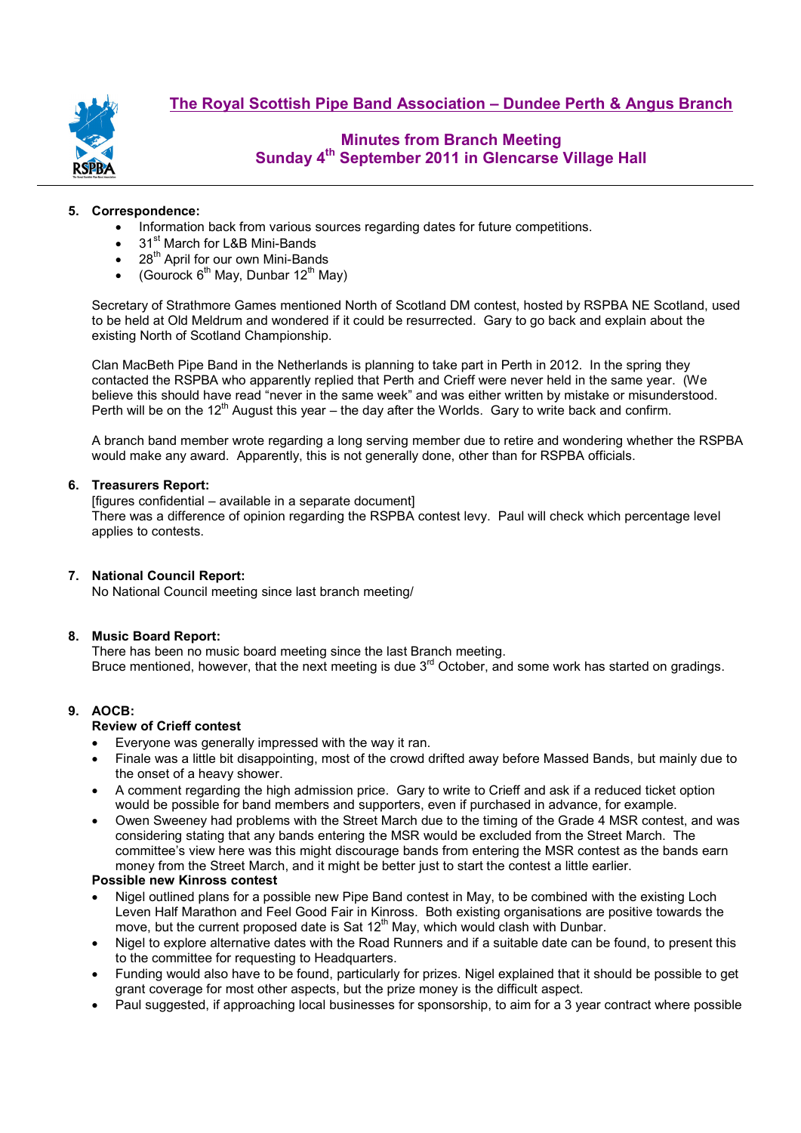

## **Minutes from Branch Meeting Sunday 4th September 2011 in Glencarse Village Hall**

### **5. Correspondence:**

- Information back from various sources regarding dates for future competitions.
- 31<sup>st</sup> March for L&B Mini-Bands
- $\bullet$  28<sup>th</sup> April for our own Mini-Bands
- (Gourock  $6^{th}$  May, Dunbar 12<sup>th</sup> May)

Secretary of Strathmore Games mentioned North of Scotland DM contest, hosted by RSPBA NE Scotland, used to be held at Old Meldrum and wondered if it could be resurrected. Gary to go back and explain about the existing North of Scotland Championship.

Clan MacBeth Pipe Band in the Netherlands is planning to take part in Perth in 2012. In the spring they contacted the RSPBA who apparently replied that Perth and Crieff were never held in the same year. (We believe this should have read "never in the same week" and was either written by mistake or misunderstood. Perth will be on the 12<sup>th</sup> August this year – the day after the Worlds. Gary to write back and confirm.

A branch band member wrote regarding a long serving member due to retire and wondering whether the RSPBA would make any award. Apparently, this is not generally done, other than for RSPBA officials.

#### **6. Treasurers Report:**

[figures confidential – available in a separate document] There was a difference of opinion regarding the RSPBA contest levy. Paul will check which percentage level applies to contests.

### **7. National Council Report:**

No National Council meeting since last branch meeting/

#### **8. Music Board Report:**

There has been no music board meeting since the last Branch meeting. Bruce mentioned, however, that the next meeting is due  $3<sup>rd</sup>$  October, and some work has started on gradings.

### **9. AOCB:**

#### **Review of Crieff contest**

- Everyone was generally impressed with the way it ran.
- Finale was a little bit disappointing, most of the crowd drifted away before Massed Bands, but mainly due to the onset of a heavy shower.
- A comment regarding the high admission price. Gary to write to Crieff and ask if a reduced ticket option would be possible for band members and supporters, even if purchased in advance, for example.
- Owen Sweeney had problems with the Street March due to the timing of the Grade 4 MSR contest, and was considering stating that any bands entering the MSR would be excluded from the Street March. The committee's view here was this might discourage bands from entering the MSR contest as the bands earn money from the Street March, and it might be better just to start the contest a little earlier.

### **Possible new Kinross contest**

- Nigel outlined plans for a possible new Pipe Band contest in May, to be combined with the existing Loch Leven Half Marathon and Feel Good Fair in Kinross. Both existing organisations are positive towards the move, but the current proposed date is Sat 12<sup>th</sup> May, which would clash with Dunbar.
- Nigel to explore alternative dates with the Road Runners and if a suitable date can be found, to present this to the committee for requesting to Headquarters.
- Funding would also have to be found, particularly for prizes. Nigel explained that it should be possible to get grant coverage for most other aspects, but the prize money is the difficult aspect.
- Paul suggested, if approaching local businesses for sponsorship, to aim for a 3 year contract where possible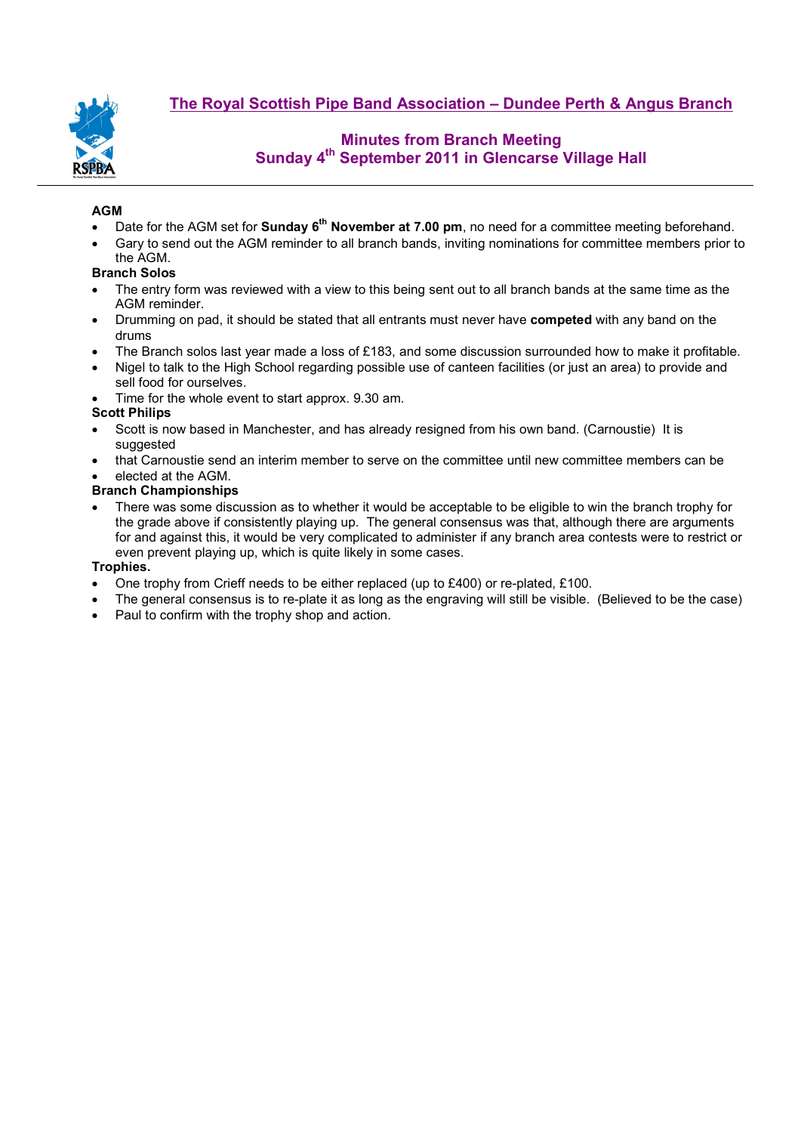

**The Royal Scottish Pipe Band Association – Dundee Perth & Angus Branch**

## **Minutes from Branch Meeting Sunday 4th September 2011 in Glencarse Village Hall**

## **AGM**

- Date for the AGM set for **Sunday 6th November at 7.00 pm**, no need for a committee meeting beforehand.
- Gary to send out the AGM reminder to all branch bands, inviting nominations for committee members prior to the AGM.

### **Branch Solos**

- The entry form was reviewed with a view to this being sent out to all branch bands at the same time as the AGM reminder.
- Drumming on pad, it should be stated that all entrants must never have **competed** with any band on the drums
- The Branch solos last year made a loss of £183, and some discussion surrounded how to make it profitable.
- Nigel to talk to the High School regarding possible use of canteen facilities (or just an area) to provide and sell food for ourselves.
- Time for the whole event to start approx. 9.30 am.

### **Scott Philips**

- Scott is now based in Manchester, and has already resigned from his own band. (Carnoustie) It is suggested
- that Carnoustie send an interim member to serve on the committee until new committee members can be

### • elected at the AGM.

### **Branch Championships**

• There was some discussion as to whether it would be acceptable to be eligible to win the branch trophy for the grade above if consistently playing up. The general consensus was that, although there are arguments for and against this, it would be very complicated to administer if any branch area contests were to restrict or even prevent playing up, which is quite likely in some cases.

### **Trophies.**

- One trophy from Crieff needs to be either replaced (up to £400) or re-plated, £100.
- The general consensus is to re-plate it as long as the engraving will still be visible. (Believed to be the case)
- Paul to confirm with the trophy shop and action.